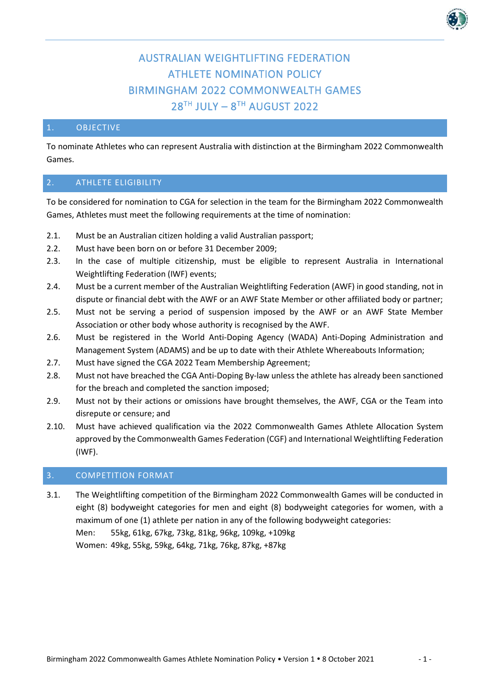# AUSTRALIAN WEIGHTLIFTING FEDERATION ATHLETE NOMINATION POLICY BIRMINGHAM 2022 COMMONWEALTH GAMES  $28<sup>TH</sup>$  JULY –  $8<sup>TH</sup>$  AUGUST 2022

### 1. OBJECTIVE

To nominate Athletes who can represent Australia with distinction at the Birmingham 2022 Commonwealth Games.

## 2. ATHLETE ELIGIBILITY

To be considered for nomination to CGA for selection in the team for the Birmingham 2022 Commonwealth Games, Athletes must meet the following requirements at the time of nomination:

- 2.1. Must be an Australian citizen holding a valid Australian passport;
- 2.2. Must have been born on or before 31 December 2009;
- 2.3. In the case of multiple citizenship, must be eligible to represent Australia in International Weightlifting Federation (IWF) events;
- 2.4. Must be a current member of the Australian Weightlifting Federation (AWF) in good standing, not in dispute or financial debt with the AWF or an AWF State Member or other affiliated body or partner;
- 2.5. Must not be serving a period of suspension imposed by the AWF or an AWF State Member Association or other body whose authority is recognised by the AWF.
- 2.6. Must be registered in the World Anti-Doping Agency (WADA) Anti-Doping Administration and Management System (ADAMS) and be up to date with their Athlete Whereabouts Information;
- 2.7. Must have signed the CGA 2022 Team Membership Agreement;
- 2.8. Must not have breached the CGA Anti-Doping By-law unless the athlete has already been sanctioned for the breach and completed the sanction imposed;
- 2.9. Must not by their actions or omissions have brought themselves, the AWF, CGA or the Team into disrepute or censure; and
- 2.10. Must have achieved qualification via the 2022 Commonwealth Games Athlete Allocation System approved by the Commonwealth Games Federation (CGF) and International Weightlifting Federation (IWF).

## 3. COMPETITION FORMAT

3.1. The Weightlifting competition of the Birmingham 2022 Commonwealth Games will be conducted in eight (8) bodyweight categories for men and eight (8) bodyweight categories for women, with a maximum of one (1) athlete per nation in any of the following bodyweight categories: Men: 55kg, 61kg, 67kg, 73kg, 81kg, 96kg, 109kg, +109kg Women: 49kg, 55kg, 59kg, 64kg, 71kg, 76kg, 87kg, +87kg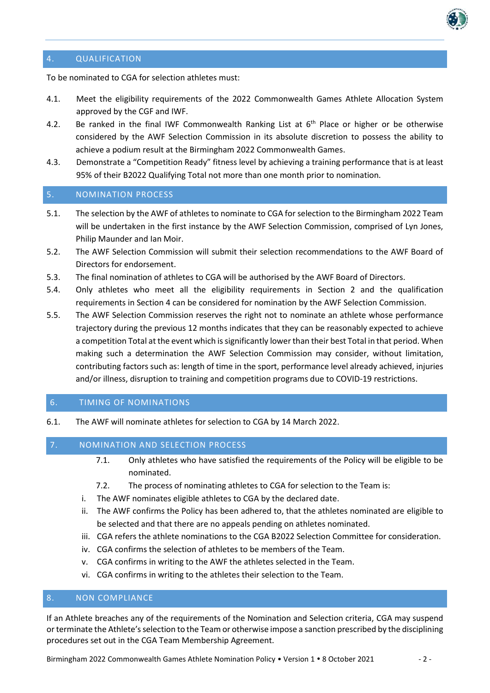

## 4. QUALIFICATION

To be nominated to CGA for selection athletes must:

- 4.1. Meet the eligibility requirements of the 2022 Commonwealth Games Athlete Allocation System approved by the CGF and IWF.
- 4.2. Be ranked in the final IWF Commonwealth Ranking List at  $6<sup>th</sup>$  Place or higher or be otherwise considered by the AWF Selection Commission in its absolute discretion to possess the ability to achieve a podium result at the Birmingham 2022 Commonwealth Games.
- 4.3. Demonstrate a "Competition Ready" fitness level by achieving a training performance that is at least 95% of their B2022 Qualifying Total not more than one month prior to nomination.

# 5. NOMINATION PROCESS

- 5.1. The selection by the AWF of athletes to nominate to CGA for selection to the Birmingham 2022 Team will be undertaken in the first instance by the AWF Selection Commission, comprised of Lyn Jones, Philip Maunder and Ian Moir.
- 5.2. The AWF Selection Commission will submit their selection recommendations to the AWF Board of Directors for endorsement.
- 5.3. The final nomination of athletes to CGA will be authorised by the AWF Board of Directors.
- 5.4. Only athletes who meet all the eligibility requirements in Section 2 and the qualification requirements in Section 4 can be considered for nomination by the AWF Selection Commission.
- 5.5. The AWF Selection Commission reserves the right not to nominate an athlete whose performance trajectory during the previous 12 months indicates that they can be reasonably expected to achieve a competition Total at the event which is significantly lowerthan their best Total in that period. When making such a determination the AWF Selection Commission may consider, without limitation, contributing factors such as: length of time in the sport, performance level already achieved, injuries and/or illness, disruption to training and competition programs due to COVID-19 restrictions.

### 6. TIMING OF NOMINATIONS

6.1. The AWF will nominate athletes for selection to CGA by 14 March 2022.

#### 7. NOMINATION AND SELECTION PROCESS

- 7.1. Only athletes who have satisfied the requirements of the Policy will be eligible to be nominated.
- 7.2. The process of nominating athletes to CGA for selection to the Team is:
- i. The AWF nominates eligible athletes to CGA by the declared date.
- ii. The AWF confirms the Policy has been adhered to, that the athletes nominated are eligible to be selected and that there are no appeals pending on athletes nominated.
- iii. CGA refers the athlete nominations to the CGA B2022 Selection Committee for consideration.
- iv. CGA confirms the selection of athletes to be members of the Team.
- v. CGA confirms in writing to the AWF the athletes selected in the Team.
- vi. CGA confirms in writing to the athletes their selection to the Team.

## 8. NON COMPLIANCE

If an Athlete breaches any of the requirements of the Nomination and Selection criteria, CGA may suspend or terminate the Athlete's selection to the Team or otherwise impose a sanction prescribed by the disciplining procedures set out in the CGA Team Membership Agreement.

Birmingham 2022 Commonwealth Games Athlete Nomination Policy • Version 1 • 8 October 2021 - 2 -